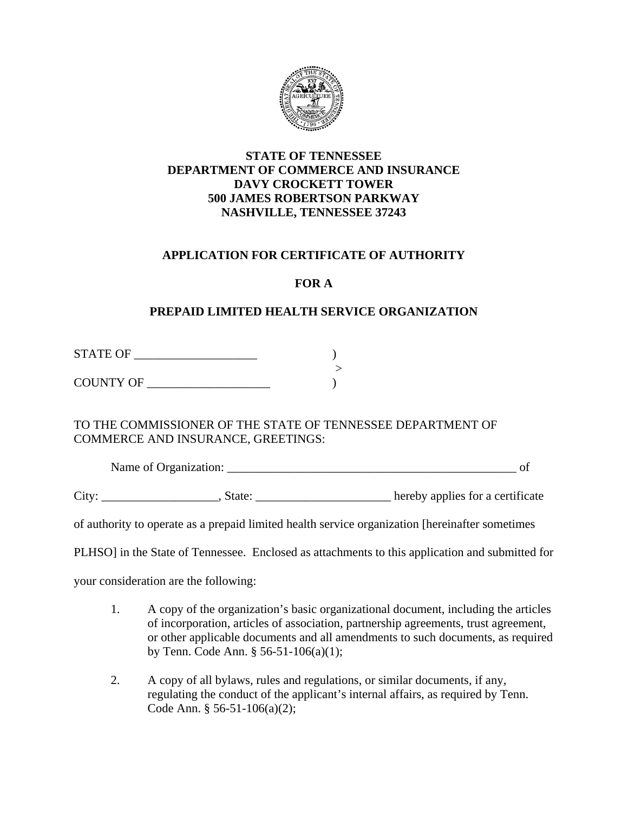

### **STATE OF TENNESSEE DEPARTMENT OF COMMERCE AND INSURANCE DAVY CROCKETT TOWER 500 JAMES ROBERTSON PARKWAY NASHVILLE, TENNESSEE 37243**

### **APPLICATION FOR CERTIFICATE OF AUTHORITY**

## **FOR A**

## **PREPAID LIMITED HEALTH SERVICE ORGANIZATION**

STATE OF \_\_\_\_\_\_\_\_\_\_\_\_\_\_\_\_\_\_\_\_ )

 > COUNTY OF \_\_\_\_\_\_\_\_\_\_\_\_\_\_\_\_\_\_\_\_ )

TO THE COMMISSIONER OF THE STATE OF TENNESSEE DEPARTMENT OF COMMERCE AND INSURANCE, GREETINGS:

Name of Organization: \_\_\_\_\_\_\_\_\_\_\_\_\_\_\_\_\_\_\_\_\_\_\_\_\_\_\_\_\_\_\_\_\_\_\_\_\_\_\_\_\_\_\_\_\_\_\_ of

City: \_\_\_\_\_\_\_\_\_\_\_\_\_\_\_\_\_\_\_\_, State: \_\_\_\_\_\_\_\_\_\_\_\_\_\_\_\_\_\_\_\_\_\_\_ hereby applies for a certificate

of authority to operate as a prepaid limited health service organization [hereinafter sometimes

PLHSO] in the State of Tennessee. Enclosed as attachments to this application and submitted for

your consideration are the following:

- 1. A copy of the organization's basic organizational document, including the articles of incorporation, articles of association, partnership agreements, trust agreement, or other applicable documents and all amendments to such documents, as required by Tenn. Code Ann. § 56-51-106(a)(1);
- 2. A copy of all bylaws, rules and regulations, or similar documents, if any, regulating the conduct of the applicant's internal affairs, as required by Tenn. Code Ann. § 56-51-106(a)(2);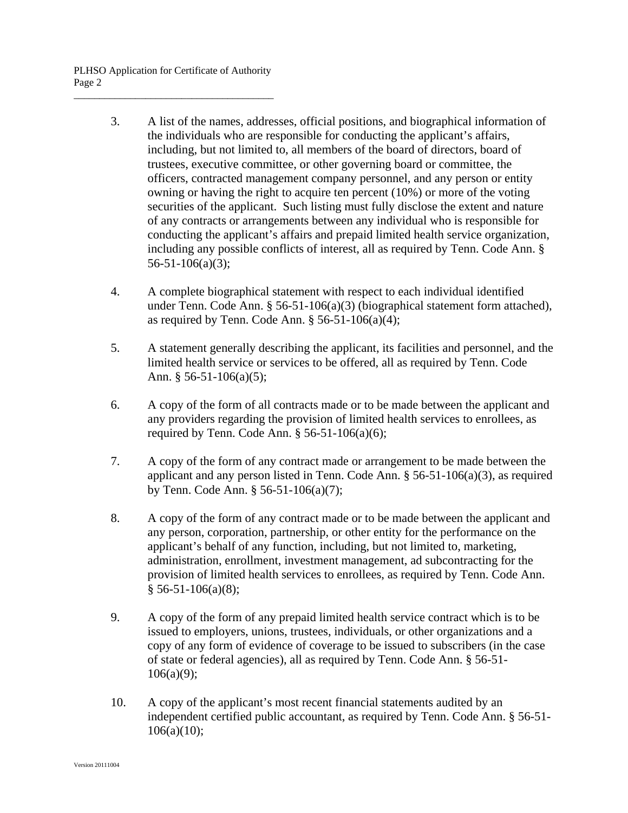- 3. A list of the names, addresses, official positions, and biographical information of the individuals who are responsible for conducting the applicant's affairs, including, but not limited to, all members of the board of directors, board of trustees, executive committee, or other governing board or committee, the officers, contracted management company personnel, and any person or entity owning or having the right to acquire ten percent (10%) or more of the voting securities of the applicant. Such listing must fully disclose the extent and nature of any contracts or arrangements between any individual who is responsible for conducting the applicant's affairs and prepaid limited health service organization, including any possible conflicts of interest, all as required by Tenn. Code Ann. § 56-51-106(a)(3);
- 4. A complete biographical statement with respect to each individual identified under Tenn. Code Ann. § 56-51-106(a)(3) (biographical statement form attached), as required by Tenn. Code Ann.  $\S$  56-51-106(a)(4);
- 5. A statement generally describing the applicant, its facilities and personnel, and the limited health service or services to be offered, all as required by Tenn. Code Ann.  $§$  56-51-106(a)(5);
- 6. A copy of the form of all contracts made or to be made between the applicant and any providers regarding the provision of limited health services to enrollees, as required by Tenn. Code Ann.  $§$  56-51-106(a)(6);
- 7. A copy of the form of any contract made or arrangement to be made between the applicant and any person listed in Tenn. Code Ann. § 56-51-106(a)(3), as required by Tenn. Code Ann. § 56-51-106(a)(7);
- 8. A copy of the form of any contract made or to be made between the applicant and any person, corporation, partnership, or other entity for the performance on the applicant's behalf of any function, including, but not limited to, marketing, administration, enrollment, investment management, ad subcontracting for the provision of limited health services to enrollees, as required by Tenn. Code Ann.  $§ 56-51-106(a)(8);$
- 9. A copy of the form of any prepaid limited health service contract which is to be issued to employers, unions, trustees, individuals, or other organizations and a copy of any form of evidence of coverage to be issued to subscribers (in the case of state or federal agencies), all as required by Tenn. Code Ann. § 56-51-  $106(a)(9);$
- 10. A copy of the applicant's most recent financial statements audited by an independent certified public accountant, as required by Tenn. Code Ann. § 56-51-  $106(a)(10);$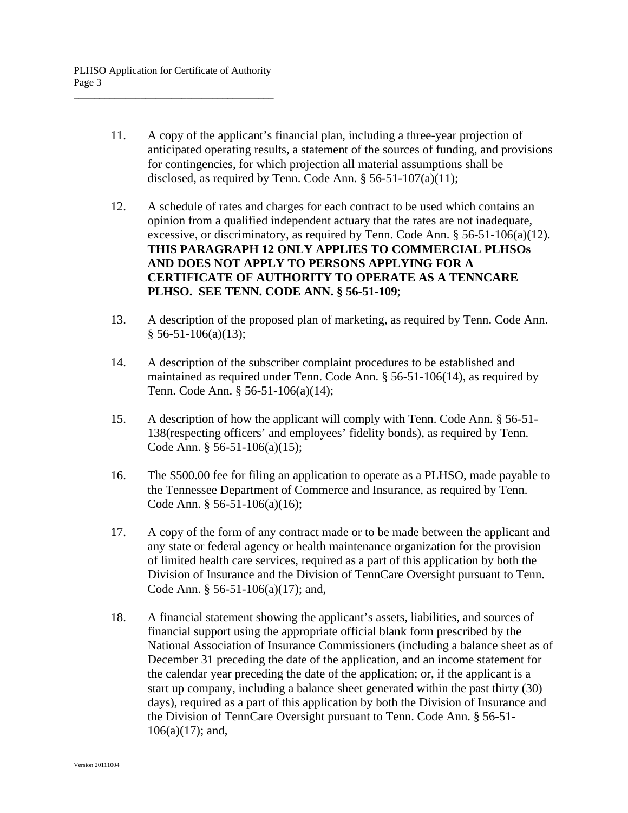- 11. A copy of the applicant's financial plan, including a three-year projection of anticipated operating results, a statement of the sources of funding, and provisions for contingencies, for which projection all material assumptions shall be disclosed, as required by Tenn. Code Ann. § 56-51-107(a)(11);
- 12. A schedule of rates and charges for each contract to be used which contains an opinion from a qualified independent actuary that the rates are not inadequate, excessive, or discriminatory, as required by Tenn. Code Ann. § 56-51-106(a)(12). **THIS PARAGRAPH 12 ONLY APPLIES TO COMMERCIAL PLHSOs AND DOES NOT APPLY TO PERSONS APPLYING FOR A CERTIFICATE OF AUTHORITY TO OPERATE AS A TENNCARE PLHSO. SEE TENN. CODE ANN. § 56-51-109**;
- 13. A description of the proposed plan of marketing, as required by Tenn. Code Ann.  $§$  56-51-106(a)(13);
- 14. A description of the subscriber complaint procedures to be established and maintained as required under Tenn. Code Ann. § 56-51-106(14), as required by Tenn. Code Ann. § 56-51-106(a)(14);
- 15. A description of how the applicant will comply with Tenn. Code Ann. § 56-51- 138(respecting officers' and employees' fidelity bonds), as required by Tenn. Code Ann. § 56-51-106(a)(15);
- 16. The \$500.00 fee for filing an application to operate as a PLHSO, made payable to the Tennessee Department of Commerce and Insurance, as required by Tenn. Code Ann. § 56-51-106(a)(16);
- 17. A copy of the form of any contract made or to be made between the applicant and any state or federal agency or health maintenance organization for the provision of limited health care services, required as a part of this application by both the Division of Insurance and the Division of TennCare Oversight pursuant to Tenn. Code Ann. § 56-51-106(a)(17); and,
- 18. A financial statement showing the applicant's assets, liabilities, and sources of financial support using the appropriate official blank form prescribed by the National Association of Insurance Commissioners (including a balance sheet as of December 31 preceding the date of the application, and an income statement for the calendar year preceding the date of the application; or, if the applicant is a start up company, including a balance sheet generated within the past thirty (30) days), required as a part of this application by both the Division of Insurance and the Division of TennCare Oversight pursuant to Tenn. Code Ann. § 56-51-  $106(a)(17)$ ; and,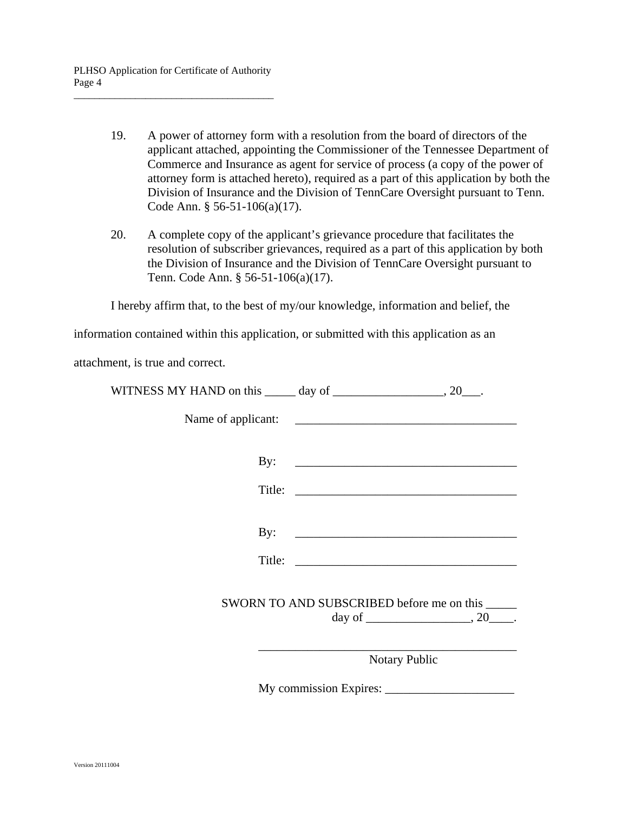- 19. A power of attorney form with a resolution from the board of directors of the applicant attached, appointing the Commissioner of the Tennessee Department of Commerce and Insurance as agent for service of process (a copy of the power of attorney form is attached hereto), required as a part of this application by both the Division of Insurance and the Division of TennCare Oversight pursuant to Tenn. Code Ann. § 56-51-106(a)(17).
- 20. A complete copy of the applicant's grievance procedure that facilitates the resolution of subscriber grievances, required as a part of this application by both the Division of Insurance and the Division of TennCare Oversight pursuant to Tenn. Code Ann. § 56-51-106(a)(17).

I hereby affirm that, to the best of my/our knowledge, information and belief, the

information contained within this application, or submitted with this application as an

attachment, is true and correct.

| WITNESS MY HAND on this | dav of |  |
|-------------------------|--------|--|
|                         |        |  |

Name of applicant: \_\_\_\_\_\_\_\_\_\_\_\_\_\_\_\_\_\_\_\_\_\_\_\_\_\_\_\_\_\_\_\_\_\_\_\_

By: \_\_\_\_\_\_\_\_\_\_\_\_\_\_\_\_\_\_\_\_\_\_\_\_\_\_\_\_\_\_\_\_\_\_\_\_

Title:

By: \_\_\_\_\_\_\_\_\_\_\_\_\_\_\_\_\_\_\_\_\_\_\_\_\_\_\_\_\_\_\_\_\_\_\_\_

Title:

 SWORN TO AND SUBSCRIBED before me on this \_\_\_\_\_ day of  $\qquad \qquad \ldots$ 

Notary Public

My commission Expires: \_\_\_\_\_\_\_\_\_\_\_\_\_\_\_\_\_\_\_\_\_

\_\_\_\_\_\_\_\_\_\_\_\_\_\_\_\_\_\_\_\_\_\_\_\_\_\_\_\_\_\_\_\_\_\_\_\_\_\_\_\_\_\_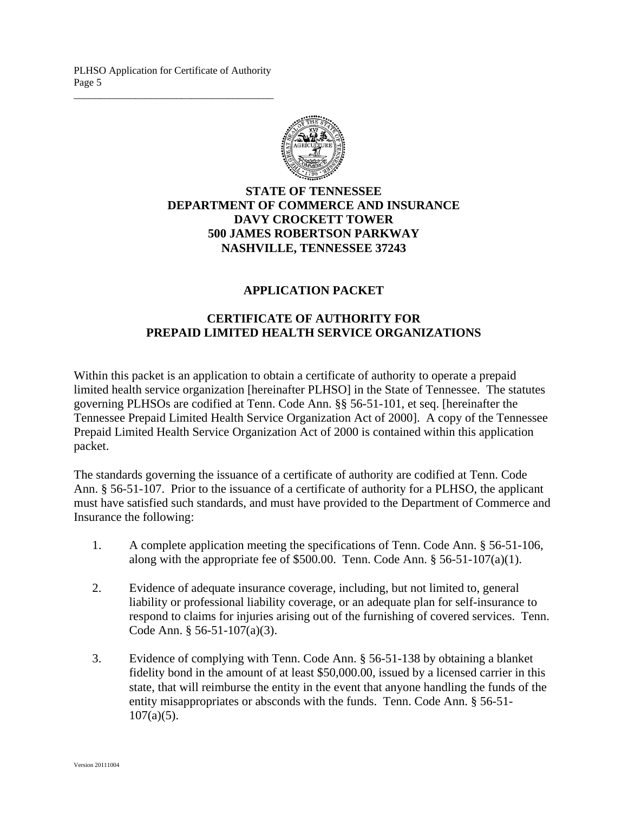PLHSO Application for Certificate of Authority Page 5 \_\_\_\_\_\_\_\_\_\_\_\_\_\_\_\_\_\_\_\_\_\_\_\_\_\_\_\_\_\_\_\_\_\_\_\_\_\_\_



### **STATE OF TENNESSEE DEPARTMENT OF COMMERCE AND INSURANCE DAVY CROCKETT TOWER 500 JAMES ROBERTSON PARKWAY NASHVILLE, TENNESSEE 37243**

#### **APPLICATION PACKET**

### **CERTIFICATE OF AUTHORITY FOR PREPAID LIMITED HEALTH SERVICE ORGANIZATIONS**

Within this packet is an application to obtain a certificate of authority to operate a prepaid limited health service organization [hereinafter PLHSO] in the State of Tennessee. The statutes governing PLHSOs are codified at Tenn. Code Ann. §§ 56-51-101, et seq. [hereinafter the Tennessee Prepaid Limited Health Service Organization Act of 2000]. A copy of the Tennessee Prepaid Limited Health Service Organization Act of 2000 is contained within this application packet.

The standards governing the issuance of a certificate of authority are codified at Tenn. Code Ann. § 56-51-107. Prior to the issuance of a certificate of authority for a PLHSO, the applicant must have satisfied such standards, and must have provided to the Department of Commerce and Insurance the following:

- 1. A complete application meeting the specifications of Tenn. Code Ann. § 56-51-106, along with the appropriate fee of \$500.00. Tenn. Code Ann.  $§$  56-51-107(a)(1).
- 2. Evidence of adequate insurance coverage, including, but not limited to, general liability or professional liability coverage, or an adequate plan for self-insurance to respond to claims for injuries arising out of the furnishing of covered services. Tenn. Code Ann. § 56-51-107(a)(3).
- 3. Evidence of complying with Tenn. Code Ann. § 56-51-138 by obtaining a blanket fidelity bond in the amount of at least \$50,000.00, issued by a licensed carrier in this state, that will reimburse the entity in the event that anyone handling the funds of the entity misappropriates or absconds with the funds. Tenn. Code Ann. § 56-51-  $107(a)(5)$ .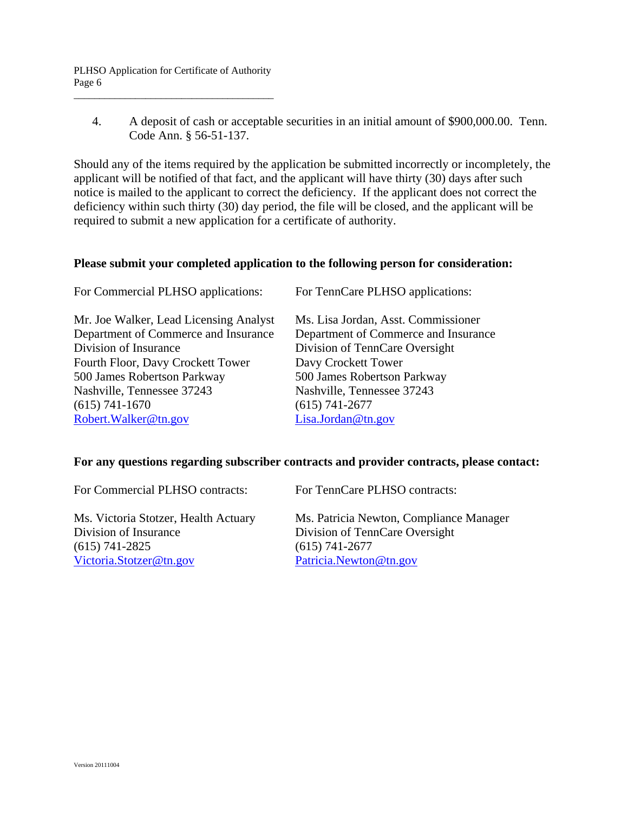4. A deposit of cash or acceptable securities in an initial amount of \$900,000.00. Tenn. Code Ann. § 56-51-137.

Should any of the items required by the application be submitted incorrectly or incompletely, the applicant will be notified of that fact, and the applicant will have thirty (30) days after such notice is mailed to the applicant to correct the deficiency. If the applicant does not correct the deficiency within such thirty (30) day period, the file will be closed, and the applicant will be required to submit a new application for a certificate of authority.

#### **Please submit your completed application to the following person for consideration:**

| For Commercial PLHSO applications:     | For TennCare PLHSO applications:     |
|----------------------------------------|--------------------------------------|
| Mr. Joe Walker, Lead Licensing Analyst | Ms. Lisa Jordan, Asst. Commissioner  |
| Department of Commerce and Insurance   | Department of Commerce and Insurance |
| Division of Insurance                  | Division of TennCare Oversight       |
| Fourth Floor, Davy Crockett Tower      | Davy Crockett Tower                  |
| 500 James Robertson Parkway            | 500 James Robertson Parkway          |
| Nashville, Tennessee 37243             | Nashville, Tennessee 37243           |
| $(615) 741 - 1670$                     | $(615) 741 - 2677$                   |
| Robert. Walker@tn.gov                  | Lisa.Jordan@tn.gov                   |

#### **For any questions regarding subscriber contracts and provider contracts, please contact:**

| For Commercial PLHSO contracts:      | For TennCare PLHSO contracts:           |
|--------------------------------------|-----------------------------------------|
| Ms. Victoria Stotzer, Health Actuary | Ms. Patricia Newton, Compliance Manager |
| Division of Insurance                | Division of TennCare Oversight          |
| $(615)$ 741-2825                     | $(615) 741 - 2677$                      |
| Victoria.Stotzer@tn.gov              | Patricia.Newton@tn.gov                  |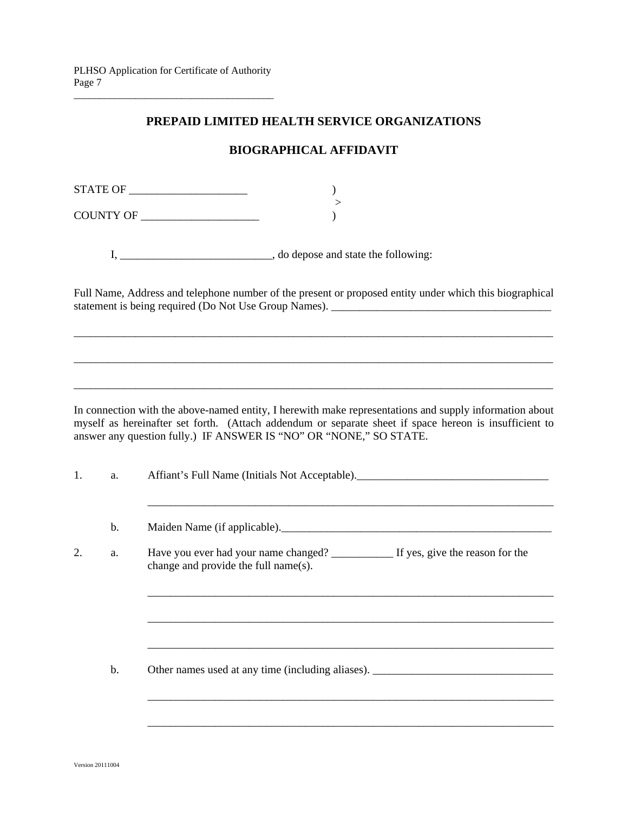### **PREPAID LIMITED HEALTH SERVICE ORGANIZATIONS**

## **BIOGRAPHICAL AFFIDAVIT**

 $\begin{minipage}{14cm} \textbf{STATE OF} \end{minipage}$ >

COUNTY OF \_\_\_\_\_\_\_\_\_\_\_\_\_\_\_\_\_\_\_\_\_ )

I, \_\_\_\_\_\_\_\_\_\_\_\_\_\_\_\_\_\_\_\_\_\_\_\_\_\_, do depose and state the following:

Full Name, Address and telephone number of the present or proposed entity under which this biographical statement is being required (Do Not Use Group Names). \_\_\_\_\_\_\_\_\_\_\_\_\_\_\_\_\_\_\_\_\_\_\_\_\_\_\_\_\_\_\_\_\_\_\_\_\_\_\_

\_\_\_\_\_\_\_\_\_\_\_\_\_\_\_\_\_\_\_\_\_\_\_\_\_\_\_\_\_\_\_\_\_\_\_\_\_\_\_\_\_\_\_\_\_\_\_\_\_\_\_\_\_\_\_\_\_\_\_\_\_\_\_\_\_\_\_\_\_\_\_\_\_\_\_\_\_\_\_\_\_\_\_\_\_

\_\_\_\_\_\_\_\_\_\_\_\_\_\_\_\_\_\_\_\_\_\_\_\_\_\_\_\_\_\_\_\_\_\_\_\_\_\_\_\_\_\_\_\_\_\_\_\_\_\_\_\_\_\_\_\_\_\_\_\_\_\_\_\_\_\_\_\_\_\_\_\_\_\_\_\_\_\_\_\_\_\_\_\_\_

\_\_\_\_\_\_\_\_\_\_\_\_\_\_\_\_\_\_\_\_\_\_\_\_\_\_\_\_\_\_\_\_\_\_\_\_\_\_\_\_\_\_\_\_\_\_\_\_\_\_\_\_\_\_\_\_\_\_\_\_\_\_\_\_\_\_\_\_\_\_\_\_\_\_\_\_\_\_\_\_\_\_\_\_\_

In connection with the above-named entity, I herewith make representations and supply information about myself as hereinafter set forth. (Attach addendum or separate sheet if space hereon is insufficient to answer any question fully.) IF ANSWER IS "NO" OR "NONE," SO STATE.

1. a. Affiant's Full Name (Initials Not Acceptable).

\_\_\_\_\_\_\_\_\_\_\_\_\_\_\_\_\_\_\_\_\_\_\_\_\_\_\_\_\_\_\_\_\_\_\_\_\_\_\_\_\_\_\_\_\_\_\_\_\_\_\_\_\_\_\_\_\_\_\_\_\_\_\_\_\_\_\_\_\_\_\_\_

b. Maiden Name (if applicable).

2. a. Have you ever had your name changed? \_\_\_\_\_\_\_\_\_\_\_ If yes, give the reason for the change and provide the full name(s).

 $\overline{\phantom{a}}$  ,  $\overline{\phantom{a}}$  ,  $\overline{\phantom{a}}$  ,  $\overline{\phantom{a}}$  ,  $\overline{\phantom{a}}$  ,  $\overline{\phantom{a}}$  ,  $\overline{\phantom{a}}$  ,  $\overline{\phantom{a}}$  ,  $\overline{\phantom{a}}$  ,  $\overline{\phantom{a}}$  ,  $\overline{\phantom{a}}$  ,  $\overline{\phantom{a}}$  ,  $\overline{\phantom{a}}$  ,  $\overline{\phantom{a}}$  ,  $\overline{\phantom{a}}$  ,  $\overline{\phantom{a}}$ 

 $\overline{\phantom{a}}$  ,  $\overline{\phantom{a}}$  ,  $\overline{\phantom{a}}$  ,  $\overline{\phantom{a}}$  ,  $\overline{\phantom{a}}$  ,  $\overline{\phantom{a}}$  ,  $\overline{\phantom{a}}$  ,  $\overline{\phantom{a}}$  ,  $\overline{\phantom{a}}$  ,  $\overline{\phantom{a}}$  ,  $\overline{\phantom{a}}$  ,  $\overline{\phantom{a}}$  ,  $\overline{\phantom{a}}$  ,  $\overline{\phantom{a}}$  ,  $\overline{\phantom{a}}$  ,  $\overline{\phantom{a}}$ 

 $\overline{\phantom{a}}$  ,  $\overline{\phantom{a}}$  ,  $\overline{\phantom{a}}$  ,  $\overline{\phantom{a}}$  ,  $\overline{\phantom{a}}$  ,  $\overline{\phantom{a}}$  ,  $\overline{\phantom{a}}$  ,  $\overline{\phantom{a}}$  ,  $\overline{\phantom{a}}$  ,  $\overline{\phantom{a}}$  ,  $\overline{\phantom{a}}$  ,  $\overline{\phantom{a}}$  ,  $\overline{\phantom{a}}$  ,  $\overline{\phantom{a}}$  ,  $\overline{\phantom{a}}$  ,  $\overline{\phantom{a}}$ 

 $\overline{\phantom{a}}$  ,  $\overline{\phantom{a}}$  ,  $\overline{\phantom{a}}$  ,  $\overline{\phantom{a}}$  ,  $\overline{\phantom{a}}$  ,  $\overline{\phantom{a}}$  ,  $\overline{\phantom{a}}$  ,  $\overline{\phantom{a}}$  ,  $\overline{\phantom{a}}$  ,  $\overline{\phantom{a}}$  ,  $\overline{\phantom{a}}$  ,  $\overline{\phantom{a}}$  ,  $\overline{\phantom{a}}$  ,  $\overline{\phantom{a}}$  ,  $\overline{\phantom{a}}$  ,  $\overline{\phantom{a}}$ 

b. Other names used at any time (including aliases). \_\_\_\_\_\_\_\_\_\_\_\_\_\_\_\_\_\_\_\_\_\_\_\_\_\_\_\_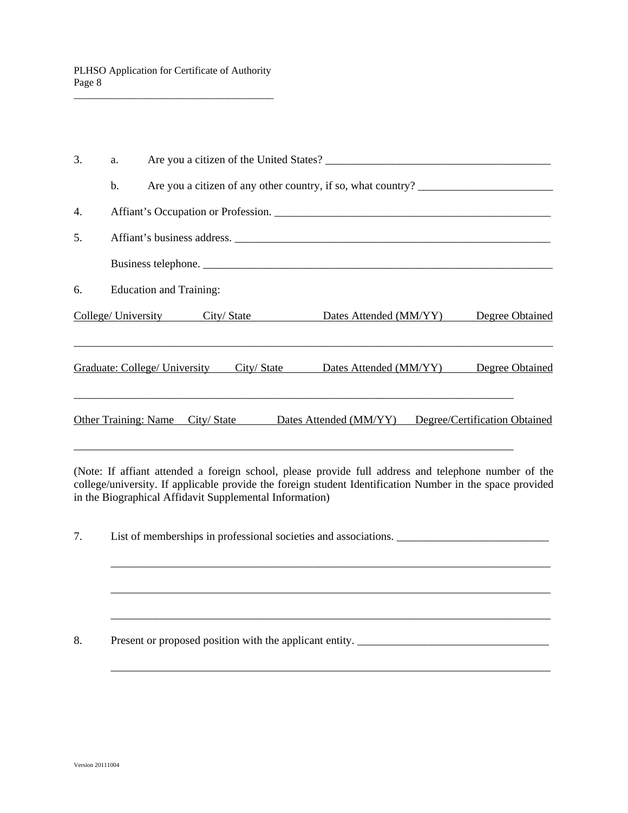| 3. | a. |                                      | Are you a citizen of the United States?                      |                        |  |                               |                 |
|----|----|--------------------------------------|--------------------------------------------------------------|------------------------|--|-------------------------------|-----------------|
|    | b. |                                      | Are you a citizen of any other country, if so, what country? |                        |  |                               |                 |
| 4. |    |                                      | Affiant's Occupation or Profession.                          |                        |  |                               |                 |
| 5. |    |                                      | Affiant's business address.                                  |                        |  |                               |                 |
|    |    |                                      |                                                              |                        |  |                               |                 |
| 6. |    | <b>Education and Training:</b>       |                                                              |                        |  |                               |                 |
|    |    |                                      | College/ University City/ State                              | Dates Attended (MM/YY) |  |                               | Degree Obtained |
|    |    | <b>Graduate: College/ University</b> | City / State                                                 | Dates Attended (MM/YY) |  |                               | Degree Obtained |
|    |    | <b>Other Training: Name</b>          | City/State                                                   | Dates Attended (MM/YY) |  | Degree/Certification Obtained |                 |

(Note: If affiant attended a foreign school, please provide full address and telephone number of the college/university. If applicable provide the foreign student Identification Number in the space provided in the Biographical Affidavit Supplemental Information)

7. List of memberships in professional societies and associations. \_\_\_\_\_\_\_\_\_\_\_\_\_\_\_\_\_\_\_\_\_\_\_\_\_\_\_

\_\_\_\_\_\_\_\_\_\_\_\_\_\_\_\_\_\_\_\_\_\_\_\_\_\_\_\_\_\_\_\_\_\_\_\_\_\_\_\_\_\_\_\_\_\_\_\_\_\_\_\_\_\_\_\_\_\_\_\_\_\_\_\_\_\_\_\_\_\_\_\_\_\_\_\_\_\_

\_\_\_\_\_\_\_\_\_\_\_\_\_\_\_\_\_\_\_\_\_\_\_\_\_\_\_\_\_\_\_\_\_\_\_\_\_\_\_\_\_\_\_\_\_\_\_\_\_\_\_\_\_\_\_\_\_\_\_\_\_\_\_\_\_\_\_\_\_\_\_\_\_\_\_\_\_\_

\_\_\_\_\_\_\_\_\_\_\_\_\_\_\_\_\_\_\_\_\_\_\_\_\_\_\_\_\_\_\_\_\_\_\_\_\_\_\_\_\_\_\_\_\_\_\_\_\_\_\_\_\_\_\_\_\_\_\_\_\_\_\_\_\_\_\_\_\_\_\_\_\_\_\_\_\_\_

\_\_\_\_\_\_\_\_\_\_\_\_\_\_\_\_\_\_\_\_\_\_\_\_\_\_\_\_\_\_\_\_\_\_\_\_\_\_\_\_\_\_\_\_\_\_\_\_\_\_\_\_\_\_\_\_\_\_\_\_\_\_\_\_\_\_\_\_\_\_\_\_\_\_\_\_\_\_

8. Present or proposed position with the applicant entity. \_\_\_\_\_\_\_\_\_\_\_\_\_\_\_\_\_\_\_\_\_\_\_\_\_\_\_\_\_\_\_\_\_\_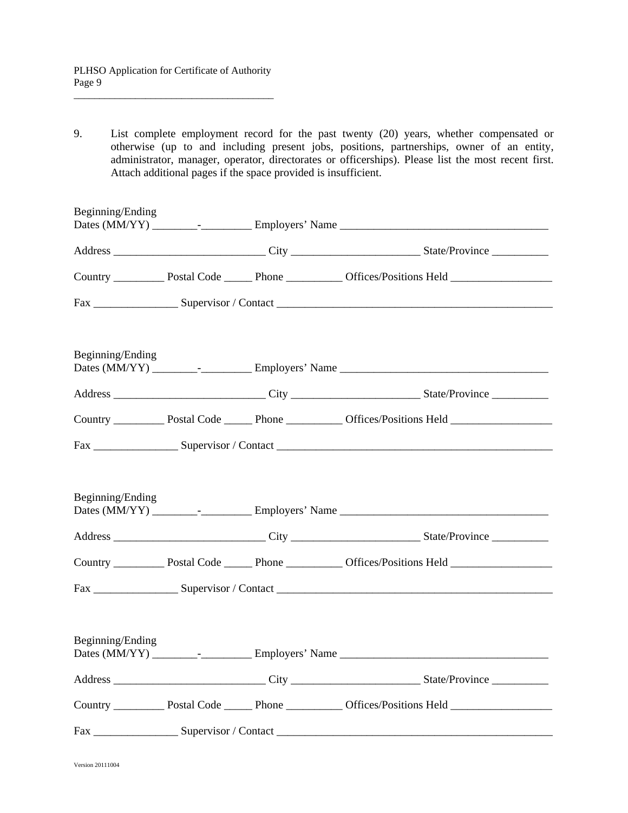9. List complete employment record for the past twenty (20) years, whether compensated or otherwise (up to and including present jobs, positions, partnerships, owner of an entity, administrator, manager, operator, directorates or officerships). Please list the most recent first. Attach additional pages if the space provided is insufficient.

| Beginning/Ending |  |  |
|------------------|--|--|
|                  |  |  |
|                  |  |  |
|                  |  |  |
| Beginning/Ending |  |  |
|                  |  |  |
|                  |  |  |
|                  |  |  |
| Beginning/Ending |  |  |
|                  |  |  |
|                  |  |  |
| Beginning/Ending |  |  |
|                  |  |  |
|                  |  |  |
|                  |  |  |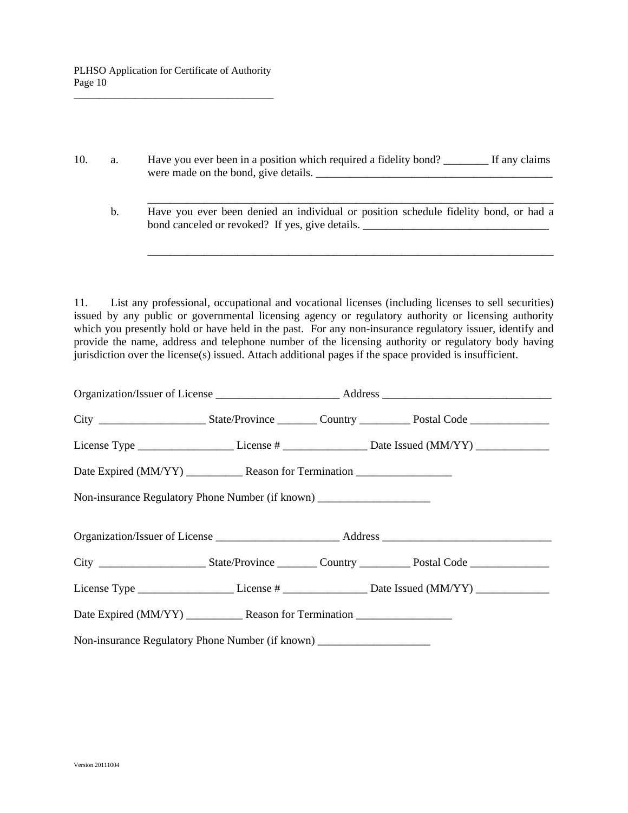10. a. Have you ever been in a position which required a fidelity bond? \_\_\_\_\_\_\_\_ If any claims were made on the bond, give details.

\_\_\_\_\_\_\_\_\_\_\_\_\_\_\_\_\_\_\_\_\_\_\_\_\_\_\_\_\_\_\_\_\_\_\_\_\_\_\_\_\_\_\_\_\_\_\_\_\_\_\_\_\_\_\_\_\_\_\_\_\_\_\_\_\_\_\_\_\_\_\_\_

\_\_\_\_\_\_\_\_\_\_\_\_\_\_\_\_\_\_\_\_\_\_\_\_\_\_\_\_\_\_\_\_\_\_\_\_\_\_\_\_\_\_\_\_\_\_\_\_\_\_\_\_\_\_\_\_\_\_\_\_\_\_\_\_\_\_\_\_\_\_\_\_

 b. Have you ever been denied an individual or position schedule fidelity bond, or had a bond canceled or revoked? If yes, give details. \_\_\_\_\_\_\_\_\_\_\_\_\_\_\_\_\_\_\_\_\_\_\_\_\_\_\_\_\_\_\_\_\_

11. List any professional, occupational and vocational licenses (including licenses to sell securities) issued by any public or governmental licensing agency or regulatory authority or licensing authority which you presently hold or have held in the past. For any non-insurance regulatory issuer, identify and provide the name, address and telephone number of the licensing authority or regulatory body having jurisdiction over the license(s) issued. Attach additional pages if the space provided is insufficient.

|                                                                                   |  | License Type ___________________________License # _________________________Date Issued (MM/YY) _______________ |
|-----------------------------------------------------------------------------------|--|----------------------------------------------------------------------------------------------------------------|
|                                                                                   |  |                                                                                                                |
| Non-insurance Regulatory Phone Number (if known) ________________________________ |  |                                                                                                                |
|                                                                                   |  |                                                                                                                |
|                                                                                   |  |                                                                                                                |
|                                                                                   |  |                                                                                                                |
|                                                                                   |  |                                                                                                                |
| Non-insurance Regulatory Phone Number (if known) ________________________________ |  |                                                                                                                |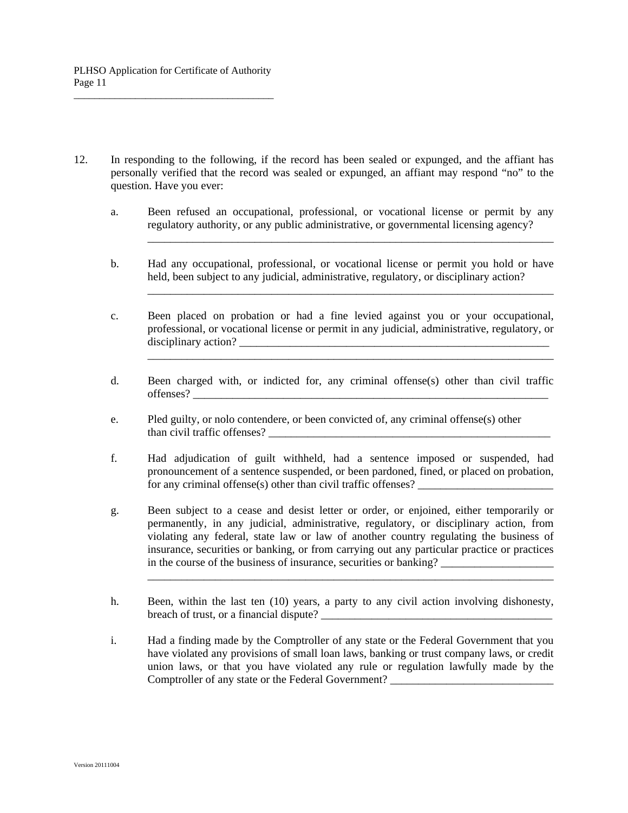12. In responding to the following, if the record has been sealed or expunged, and the affiant has personally verified that the record was sealed or expunged, an affiant may respond "no" to the question. Have you ever:

\_\_\_\_\_\_\_\_\_\_\_\_\_\_\_\_\_\_\_\_\_\_\_\_\_\_\_\_\_\_\_\_\_\_\_\_\_\_\_\_\_\_\_\_\_\_\_\_\_\_\_\_\_\_\_\_\_\_\_\_\_\_\_\_\_\_\_\_\_\_\_\_

 $\overline{\phantom{a}}$  , and the contract of the contract of the contract of the contract of the contract of the contract of the contract of the contract of the contract of the contract of the contract of the contract of the contrac

\_\_\_\_\_\_\_\_\_\_\_\_\_\_\_\_\_\_\_\_\_\_\_\_\_\_\_\_\_\_\_\_\_\_\_\_\_\_\_\_\_\_\_\_\_\_\_\_\_\_\_\_\_\_\_\_\_\_\_\_\_\_\_\_\_\_\_\_\_\_\_\_

- a. Been refused an occupational, professional, or vocational license or permit by any regulatory authority, or any public administrative, or governmental licensing agency?
- b. Had any occupational, professional, or vocational license or permit you hold or have held, been subject to any judicial, administrative, regulatory, or disciplinary action?
- c. Been placed on probation or had a fine levied against you or your occupational, professional, or vocational license or permit in any judicial, administrative, regulatory, or disciplinary action? \_\_\_\_\_\_\_\_\_\_\_\_\_\_\_\_\_\_\_\_\_\_\_\_\_\_\_\_\_\_\_\_\_\_\_\_\_\_\_\_\_\_\_\_\_\_\_\_\_\_\_\_\_\_\_
- d. Been charged with, or indicted for, any criminal offense(s) other than civil traffic offenses? \_\_\_\_\_\_\_\_\_\_\_\_\_\_\_\_\_\_\_\_\_\_\_\_\_\_\_\_\_\_\_\_\_\_\_\_\_\_\_\_\_\_\_\_\_\_\_\_\_\_\_\_\_\_\_\_\_\_\_\_\_\_\_
- e. Pled guilty, or nolo contendere, or been convicted of, any criminal offense(s) other than civil traffic offenses? \_\_\_\_\_\_\_\_\_\_\_\_\_\_\_\_\_\_\_\_\_\_\_\_\_\_\_\_\_\_\_\_\_\_\_\_\_\_\_\_\_\_\_\_\_\_\_\_\_\_
- f. Had adjudication of guilt withheld, had a sentence imposed or suspended, had pronouncement of a sentence suspended, or been pardoned, fined, or placed on probation, for any criminal offense(s) other than civil traffic offenses?
- g. Been subject to a cease and desist letter or order, or enjoined, either temporarily or permanently, in any judicial, administrative, regulatory, or disciplinary action, from violating any federal, state law or law of another country regulating the business of insurance, securities or banking, or from carrying out any particular practice or practices in the course of the business of insurance, securities or banking?
- h. Been, within the last ten (10) years, a party to any civil action involving dishonesty, breach of trust, or a financial dispute? \_\_\_\_\_\_\_\_\_\_\_\_\_\_\_\_\_\_\_\_\_\_\_\_\_\_\_\_\_\_\_\_\_\_\_\_\_\_\_\_\_

\_\_\_\_\_\_\_\_\_\_\_\_\_\_\_\_\_\_\_\_\_\_\_\_\_\_\_\_\_\_\_\_\_\_\_\_\_\_\_\_\_\_\_\_\_\_\_\_\_\_\_\_\_\_\_\_\_\_\_\_\_\_\_\_\_\_\_\_\_\_\_\_

 i. Had a finding made by the Comptroller of any state or the Federal Government that you have violated any provisions of small loan laws, banking or trust company laws, or credit union laws, or that you have violated any rule or regulation lawfully made by the Comptroller of any state or the Federal Government?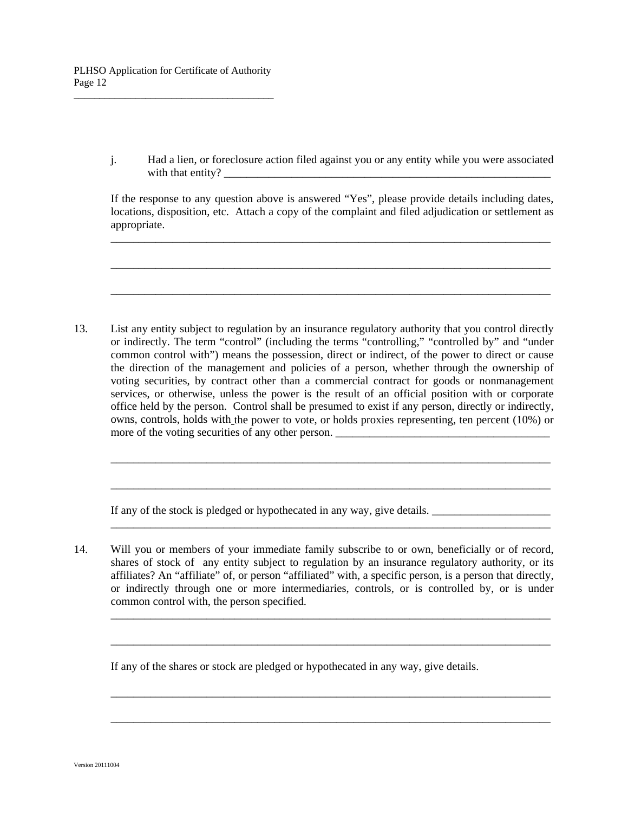j. Had a lien, or foreclosure action filed against you or any entity while you were associated with that entity?

 If the response to any question above is answered "Yes", please provide details including dates, locations, disposition, etc. Attach a copy of the complaint and filed adjudication or settlement as appropriate.

\_\_\_\_\_\_\_\_\_\_\_\_\_\_\_\_\_\_\_\_\_\_\_\_\_\_\_\_\_\_\_\_\_\_\_\_\_\_\_\_\_\_\_\_\_\_\_\_\_\_\_\_\_\_\_\_\_\_\_\_\_\_\_\_\_\_\_\_\_\_\_\_\_\_\_\_\_\_

\_\_\_\_\_\_\_\_\_\_\_\_\_\_\_\_\_\_\_\_\_\_\_\_\_\_\_\_\_\_\_\_\_\_\_\_\_\_\_\_\_\_\_\_\_\_\_\_\_\_\_\_\_\_\_\_\_\_\_\_\_\_\_\_\_\_\_\_\_\_\_\_\_\_\_\_\_\_

\_\_\_\_\_\_\_\_\_\_\_\_\_\_\_\_\_\_\_\_\_\_\_\_\_\_\_\_\_\_\_\_\_\_\_\_\_\_\_\_\_\_\_\_\_\_\_\_\_\_\_\_\_\_\_\_\_\_\_\_\_\_\_\_\_\_\_\_\_\_\_\_\_\_\_\_\_\_

13. List any entity subject to regulation by an insurance regulatory authority that you control directly or indirectly. The term "control" (including the terms "controlling," "controlled by" and "under common control with") means the possession, direct or indirect, of the power to direct or cause the direction of the management and policies of a person, whether through the ownership of voting securities, by contract other than a commercial contract for goods or nonmanagement services, or otherwise, unless the power is the result of an official position with or corporate office held by the person. Control shall be presumed to exist if any person, directly or indirectly, owns, controls, holds with the power to vote, or holds proxies representing, ten percent (10%) or more of the voting securities of any other person.

\_\_\_\_\_\_\_\_\_\_\_\_\_\_\_\_\_\_\_\_\_\_\_\_\_\_\_\_\_\_\_\_\_\_\_\_\_\_\_\_\_\_\_\_\_\_\_\_\_\_\_\_\_\_\_\_\_\_\_\_\_\_\_\_\_\_\_\_\_\_\_\_\_\_\_\_\_\_

\_\_\_\_\_\_\_\_\_\_\_\_\_\_\_\_\_\_\_\_\_\_\_\_\_\_\_\_\_\_\_\_\_\_\_\_\_\_\_\_\_\_\_\_\_\_\_\_\_\_\_\_\_\_\_\_\_\_\_\_\_\_\_\_\_\_\_\_\_\_\_\_\_\_\_\_\_\_

\_\_\_\_\_\_\_\_\_\_\_\_\_\_\_\_\_\_\_\_\_\_\_\_\_\_\_\_\_\_\_\_\_\_\_\_\_\_\_\_\_\_\_\_\_\_\_\_\_\_\_\_\_\_\_\_\_\_\_\_\_\_\_\_\_\_\_\_\_\_\_\_\_\_\_\_\_\_

If any of the stock is pledged or hypothecated in any way, give details.

14. Will you or members of your immediate family subscribe to or own, beneficially or of record, shares of stock of any entity subject to regulation by an insurance regulatory authority, or its affiliates? An "affiliate" of, or person "affiliated" with, a specific person, is a person that directly, or indirectly through one or more intermediaries, controls, or is controlled by, or is under common control with, the person specified.

\_\_\_\_\_\_\_\_\_\_\_\_\_\_\_\_\_\_\_\_\_\_\_\_\_\_\_\_\_\_\_\_\_\_\_\_\_\_\_\_\_\_\_\_\_\_\_\_\_\_\_\_\_\_\_\_\_\_\_\_\_\_\_\_\_\_\_\_\_\_\_\_\_\_\_\_\_\_

\_\_\_\_\_\_\_\_\_\_\_\_\_\_\_\_\_\_\_\_\_\_\_\_\_\_\_\_\_\_\_\_\_\_\_\_\_\_\_\_\_\_\_\_\_\_\_\_\_\_\_\_\_\_\_\_\_\_\_\_\_\_\_\_\_\_\_\_\_\_\_\_\_\_\_\_\_\_

\_\_\_\_\_\_\_\_\_\_\_\_\_\_\_\_\_\_\_\_\_\_\_\_\_\_\_\_\_\_\_\_\_\_\_\_\_\_\_\_\_\_\_\_\_\_\_\_\_\_\_\_\_\_\_\_\_\_\_\_\_\_\_\_\_\_\_\_\_\_\_\_\_\_\_\_\_\_

\_\_\_\_\_\_\_\_\_\_\_\_\_\_\_\_\_\_\_\_\_\_\_\_\_\_\_\_\_\_\_\_\_\_\_\_\_\_\_\_\_\_\_\_\_\_\_\_\_\_\_\_\_\_\_\_\_\_\_\_\_\_\_\_\_\_\_\_\_\_\_\_\_\_\_\_\_\_

If any of the shares or stock are pledged or hypothecated in any way, give details.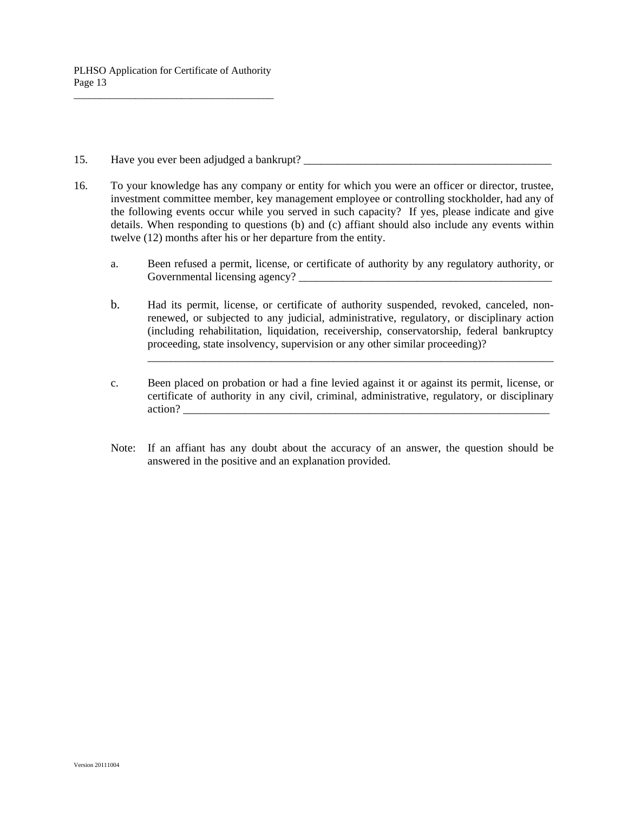- 15. Have you ever been adjudged a bankrupt? \_\_\_\_\_\_\_\_\_\_\_\_\_\_\_\_\_\_\_\_\_\_\_\_\_\_\_\_\_\_\_\_\_\_\_\_\_\_\_\_\_\_\_\_
- 16. To your knowledge has any company or entity for which you were an officer or director, trustee, investment committee member, key management employee or controlling stockholder, had any of the following events occur while you served in such capacity? If yes, please indicate and give details. When responding to questions (b) and (c) affiant should also include any events within twelve (12) months after his or her departure from the entity.
	- a. Been refused a permit, license, or certificate of authority by any regulatory authority, or Governmental licensing agency? \_\_\_\_\_\_\_\_\_\_\_\_\_\_\_\_\_\_\_\_\_\_\_\_\_\_\_\_\_\_\_\_\_\_\_\_\_\_\_\_\_\_\_\_\_
	- b. Had its permit, license, or certificate of authority suspended, revoked, canceled, nonrenewed, or subjected to any judicial, administrative, regulatory, or disciplinary action (including rehabilitation, liquidation, receivership, conservatorship, federal bankruptcy proceeding, state insolvency, supervision or any other similar proceeding)?

\_\_\_\_\_\_\_\_\_\_\_\_\_\_\_\_\_\_\_\_\_\_\_\_\_\_\_\_\_\_\_\_\_\_\_\_\_\_\_\_\_\_\_\_\_\_\_\_\_\_\_\_\_\_\_\_\_\_\_\_\_\_\_\_\_\_\_\_\_\_\_\_

- c. Been placed on probation or had a fine levied against it or against its permit, license, or certificate of authority in any civil, criminal, administrative, regulatory, or disciplinary action?
- Note: If an affiant has any doubt about the accuracy of an answer, the question should be answered in the positive and an explanation provided.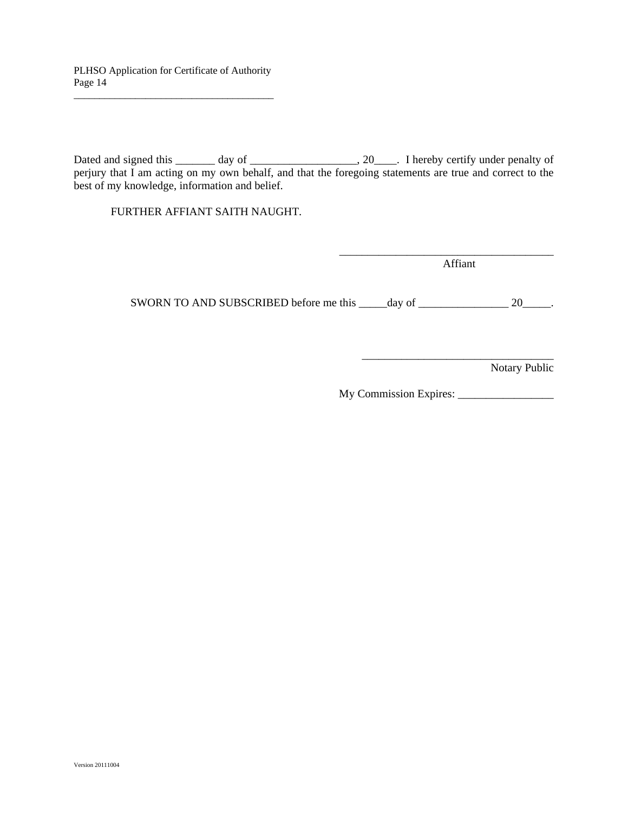Dated and signed this \_\_\_\_\_\_ day of \_\_\_\_\_\_\_\_\_\_\_\_\_\_\_\_\_, 20\_\_\_\_. I hereby certify under penalty of perjury that I am acting on my own behalf, and that the foregoing statements are true and correct to the best of my knowledge, information and belief.

FURTHER AFFIANT SAITH NAUGHT.

Affiant

\_\_\_\_\_\_\_\_\_\_\_\_\_\_\_\_\_\_\_\_\_\_\_\_\_\_\_\_\_\_\_\_\_\_\_\_\_\_

SWORN TO AND SUBSCRIBED before me this \_\_\_\_\_day of \_\_\_\_\_\_\_\_\_\_\_\_\_\_\_\_\_\_ 20\_\_\_\_\_.

 $\overline{\phantom{a}}$  ,  $\overline{\phantom{a}}$  ,  $\overline{\phantom{a}}$  ,  $\overline{\phantom{a}}$  ,  $\overline{\phantom{a}}$  ,  $\overline{\phantom{a}}$  ,  $\overline{\phantom{a}}$  ,  $\overline{\phantom{a}}$  ,  $\overline{\phantom{a}}$  ,  $\overline{\phantom{a}}$  ,  $\overline{\phantom{a}}$  ,  $\overline{\phantom{a}}$  ,  $\overline{\phantom{a}}$  ,  $\overline{\phantom{a}}$  ,  $\overline{\phantom{a}}$  ,  $\overline{\phantom{a}}$ 

Notary Public

My Commission Expires: \_\_\_\_\_\_\_\_\_\_\_\_\_\_\_\_\_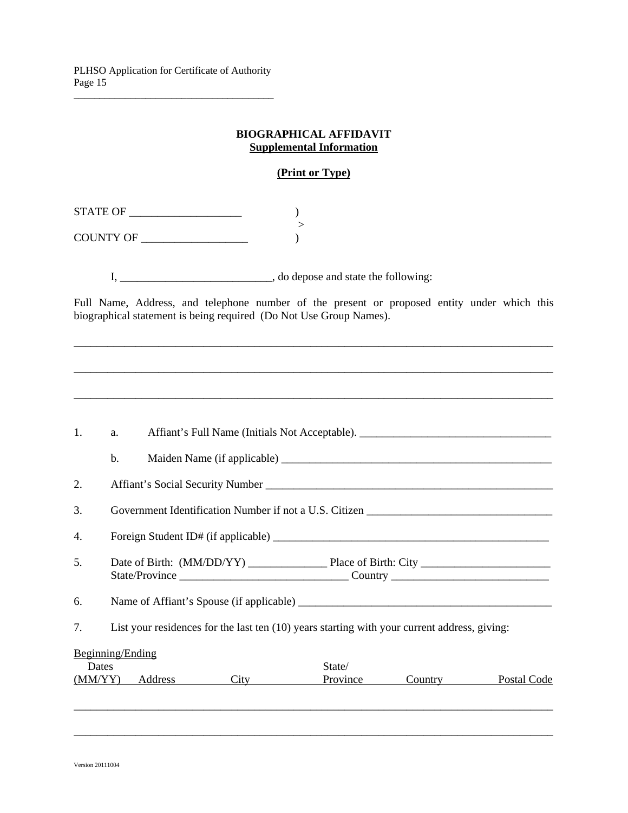#### **BIOGRAPHICAL AFFIDAVIT Supplemental Information**

# **(Print or Type)**

 $\begin{tabular}{c} \bf STATE OF \end{tabular}$  > COUNTY OF \_\_\_\_\_\_\_\_\_\_\_\_\_\_\_\_\_\_\_ )

I, \_\_\_\_\_\_\_\_\_\_\_\_\_\_\_\_\_\_\_\_\_\_\_\_\_\_\_\_\_\_\_\_, do depose and state the following:

Full Name, Address, and telephone number of the present or proposed entity under which this biographical statement is being required (Do Not Use Group Names).

\_\_\_\_\_\_\_\_\_\_\_\_\_\_\_\_\_\_\_\_\_\_\_\_\_\_\_\_\_\_\_\_\_\_\_\_\_\_\_\_\_\_\_\_\_\_\_\_\_\_\_\_\_\_\_\_\_\_\_\_\_\_\_\_\_\_\_\_\_\_\_\_\_\_\_\_\_\_\_\_\_\_\_\_\_

\_\_\_\_\_\_\_\_\_\_\_\_\_\_\_\_\_\_\_\_\_\_\_\_\_\_\_\_\_\_\_\_\_\_\_\_\_\_\_\_\_\_\_\_\_\_\_\_\_\_\_\_\_\_\_\_\_\_\_\_\_\_\_\_\_\_\_\_\_\_\_\_\_\_\_\_\_\_\_\_\_\_\_\_\_

\_\_\_\_\_\_\_\_\_\_\_\_\_\_\_\_\_\_\_\_\_\_\_\_\_\_\_\_\_\_\_\_\_\_\_\_\_\_\_\_\_\_\_\_\_\_\_\_\_\_\_\_\_\_\_\_\_\_\_\_\_\_\_\_\_\_\_\_\_\_\_\_\_\_\_\_\_\_\_\_\_\_\_\_\_

| 1. | a.               |                 | Affiant's Full Name (Initials Not Acceptable).                                               |         |             |
|----|------------------|-----------------|----------------------------------------------------------------------------------------------|---------|-------------|
|    | b.               |                 |                                                                                              |         |             |
| 2. |                  |                 |                                                                                              |         |             |
| 3. |                  |                 | Government Identification Number if not a U.S. Citizen                                       |         |             |
| 4. |                  |                 |                                                                                              |         |             |
| 5. |                  |                 |                                                                                              |         |             |
| 6. |                  |                 |                                                                                              |         |             |
| 7. |                  |                 | List your residences for the last ten (10) years starting with your current address, giving: |         |             |
|    | Beginning/Ending |                 |                                                                                              |         |             |
|    | Dates            |                 | State/                                                                                       |         |             |
|    |                  | (MM/YY) Address | Province                                                                                     | Country | Postal Code |

\_\_\_\_\_\_\_\_\_\_\_\_\_\_\_\_\_\_\_\_\_\_\_\_\_\_\_\_\_\_\_\_\_\_\_\_\_\_\_\_\_\_\_\_\_\_\_\_\_\_\_\_\_\_\_\_\_\_\_\_\_\_\_\_\_\_\_\_\_\_\_\_\_\_\_\_\_\_\_\_\_\_\_\_\_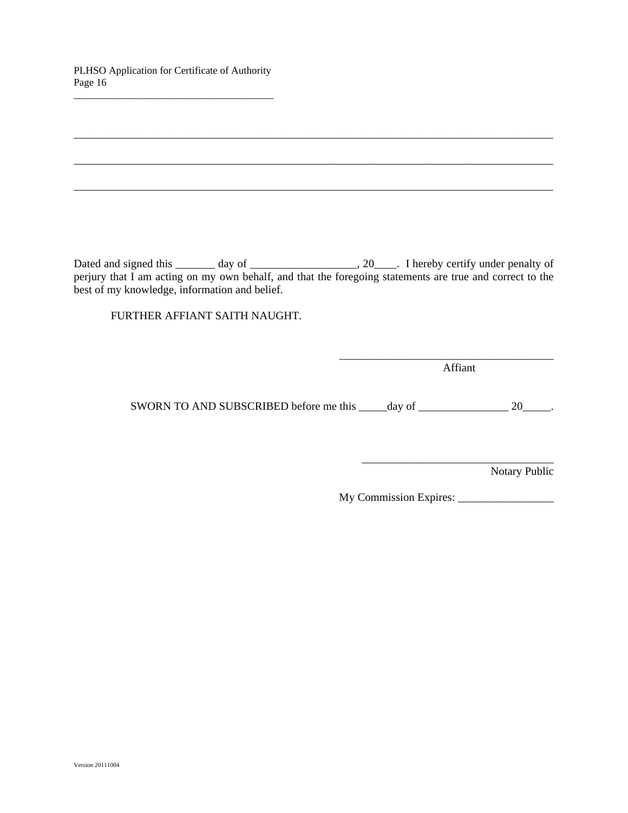PLHSO Application for Certificate of Authority Page 16 \_\_\_\_\_\_\_\_\_\_\_\_\_\_\_\_\_\_\_\_\_\_\_\_\_\_\_\_\_\_\_\_\_\_\_\_\_\_\_

| best of my knowledge, information and belief. | perjury that I am acting on my own behalf, and that the foregoing statements are true and correct to the |
|-----------------------------------------------|----------------------------------------------------------------------------------------------------------|
| FURTHER AFFIANT SAITH NAUGHT.                 |                                                                                                          |
|                                               |                                                                                                          |
|                                               | Affiant                                                                                                  |

SWORN TO AND SUBSCRIBED before me this \_\_\_\_\_day of \_\_\_\_\_\_\_\_\_\_\_\_\_\_\_\_\_\_\_\_\_ 20\_\_\_\_\_.

Notary Public

My Commission Expires: \_\_\_\_\_\_\_\_\_\_\_\_\_\_\_\_\_

\_\_\_\_\_\_\_\_\_\_\_\_\_\_\_\_\_\_\_\_\_\_\_\_\_\_\_\_\_\_\_\_\_\_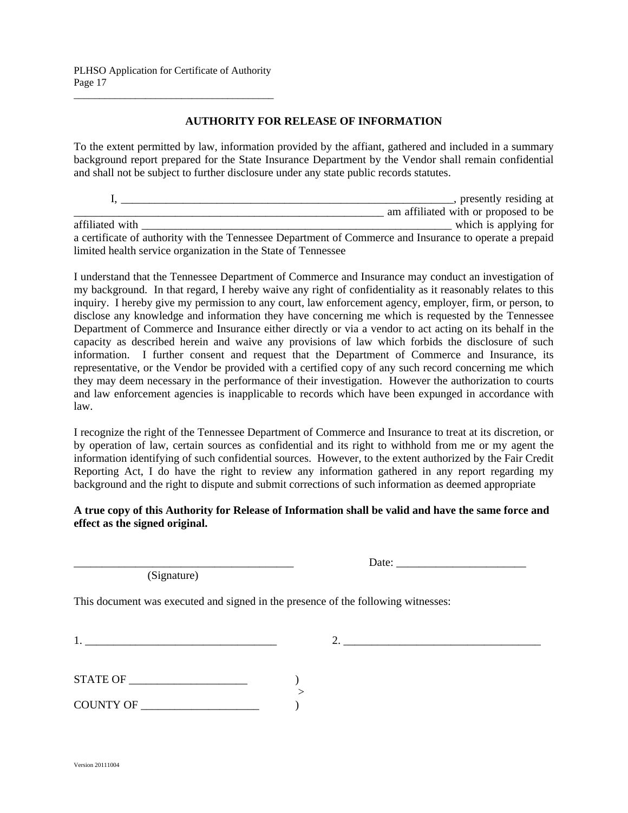#### **AUTHORITY FOR RELEASE OF INFORMATION**

To the extent permitted by law, information provided by the affiant, gathered and included in a summary background report prepared for the State Insurance Department by the Vendor shall remain confidential and shall not be subject to further disclosure under any state public records statutes.

|                                                                                                         | , presently residing at              |
|---------------------------------------------------------------------------------------------------------|--------------------------------------|
|                                                                                                         | am affiliated with or proposed to be |
| affiliated with                                                                                         | which is applying for                |
| a certificate of authority with the Tennessee Department of Commerce and Insurance to operate a prepaid |                                      |
| limited health service organization in the State of Tennessee                                           |                                      |

I understand that the Tennessee Department of Commerce and Insurance may conduct an investigation of my background. In that regard, I hereby waive any right of confidentiality as it reasonably relates to this inquiry. I hereby give my permission to any court, law enforcement agency, employer, firm, or person, to disclose any knowledge and information they have concerning me which is requested by the Tennessee Department of Commerce and Insurance either directly or via a vendor to act acting on its behalf in the capacity as described herein and waive any provisions of law which forbids the disclosure of such information. I further consent and request that the Department of Commerce and Insurance, its representative, or the Vendor be provided with a certified copy of any such record concerning me which they may deem necessary in the performance of their investigation. However the authorization to courts and law enforcement agencies is inapplicable to records which have been expunged in accordance with law.

I recognize the right of the Tennessee Department of Commerce and Insurance to treat at its discretion, or by operation of law, certain sources as confidential and its right to withhold from me or my agent the information identifying of such confidential sources. However, to the extent authorized by the Fair Credit Reporting Act, I do have the right to review any information gathered in any report regarding my background and the right to dispute and submit corrections of such information as deemed appropriate

#### **A true copy of this Authority for Release of Information shall be valid and have the same force and effect as the signed original.**

(Signature)

|  | . . |
|--|-----|
|--|-----|

This document was executed and signed in the presence of the following witnesses:

| -4  |  |  |  |
|-----|--|--|--|
| -1. |  |  |  |
|     |  |  |  |

 $1.$ 

| <b>STATE OF</b> |  |
|-----------------|--|
|                 |  |
| COUNTY OF       |  |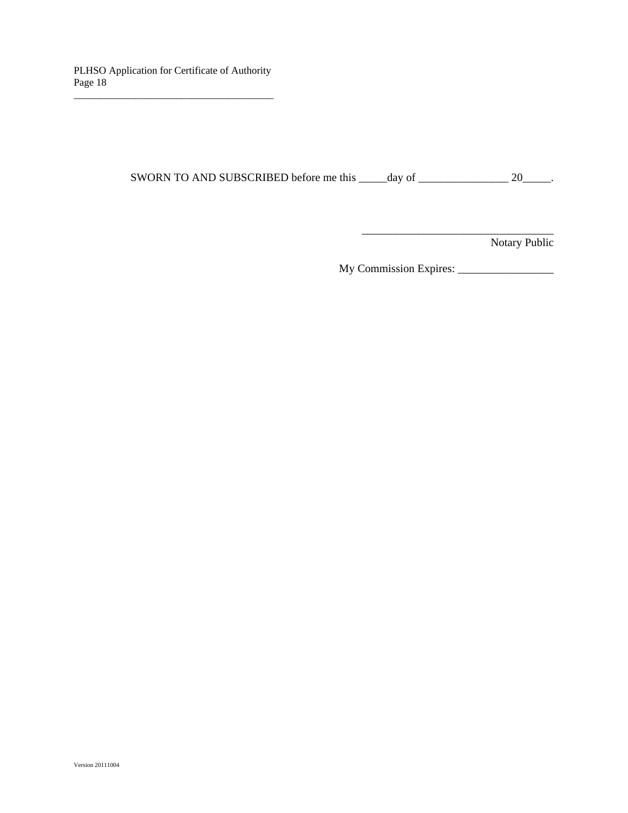SWORN TO AND SUBSCRIBED before me this \_\_\_\_\_day of \_\_\_\_\_\_\_\_\_\_\_\_\_\_\_\_\_\_\_\_\_ 20\_\_\_\_\_.

 $\overline{\phantom{a}}$  ,  $\overline{\phantom{a}}$  ,  $\overline{\phantom{a}}$  ,  $\overline{\phantom{a}}$  ,  $\overline{\phantom{a}}$  ,  $\overline{\phantom{a}}$  ,  $\overline{\phantom{a}}$  ,  $\overline{\phantom{a}}$  ,  $\overline{\phantom{a}}$  ,  $\overline{\phantom{a}}$  ,  $\overline{\phantom{a}}$  ,  $\overline{\phantom{a}}$  ,  $\overline{\phantom{a}}$  ,  $\overline{\phantom{a}}$  ,  $\overline{\phantom{a}}$  ,  $\overline{\phantom{a}}$ 

Notary Public

My Commission Expires: \_\_\_\_\_\_\_\_\_\_\_\_\_\_\_\_\_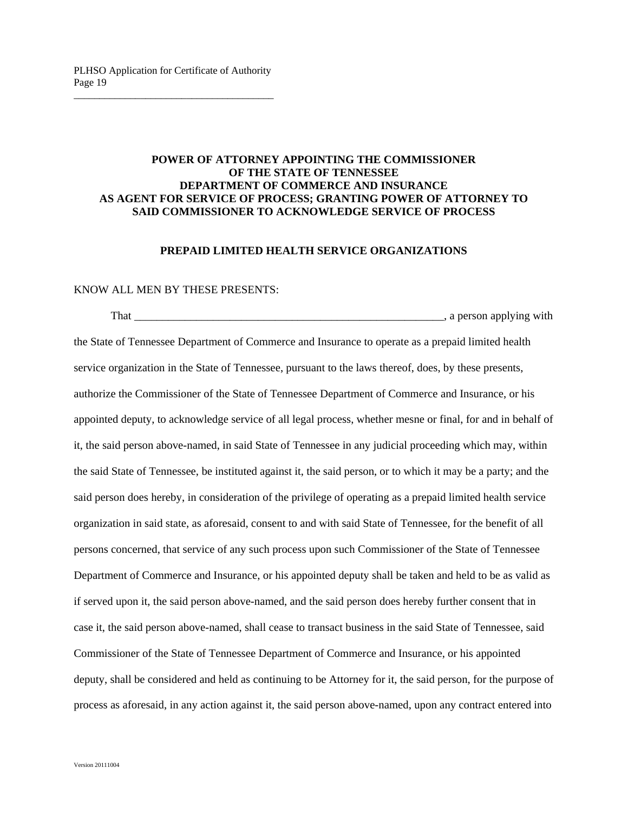#### **POWER OF ATTORNEY APPOINTING THE COMMISSIONER OF THE STATE OF TENNESSEE DEPARTMENT OF COMMERCE AND INSURANCE AS AGENT FOR SERVICE OF PROCESS; GRANTING POWER OF ATTORNEY TO SAID COMMISSIONER TO ACKNOWLEDGE SERVICE OF PROCESS**

#### **PREPAID LIMITED HEALTH SERVICE ORGANIZATIONS**

#### KNOW ALL MEN BY THESE PRESENTS:

 That \_\_\_\_\_\_\_\_\_\_\_\_\_\_\_\_\_\_\_\_\_\_\_\_\_\_\_\_\_\_\_\_\_\_\_\_\_\_\_\_\_\_\_\_\_\_\_\_\_\_\_\_\_\_\_, a person applying with the State of Tennessee Department of Commerce and Insurance to operate as a prepaid limited health service organization in the State of Tennessee, pursuant to the laws thereof, does, by these presents, authorize the Commissioner of the State of Tennessee Department of Commerce and Insurance, or his appointed deputy, to acknowledge service of all legal process, whether mesne or final, for and in behalf of it, the said person above-named, in said State of Tennessee in any judicial proceeding which may, within the said State of Tennessee, be instituted against it, the said person, or to which it may be a party; and the said person does hereby, in consideration of the privilege of operating as a prepaid limited health service organization in said state, as aforesaid, consent to and with said State of Tennessee, for the benefit of all persons concerned, that service of any such process upon such Commissioner of the State of Tennessee Department of Commerce and Insurance, or his appointed deputy shall be taken and held to be as valid as if served upon it, the said person above-named, and the said person does hereby further consent that in case it, the said person above-named, shall cease to transact business in the said State of Tennessee, said Commissioner of the State of Tennessee Department of Commerce and Insurance, or his appointed deputy, shall be considered and held as continuing to be Attorney for it, the said person, for the purpose of process as aforesaid, in any action against it, the said person above-named, upon any contract entered into